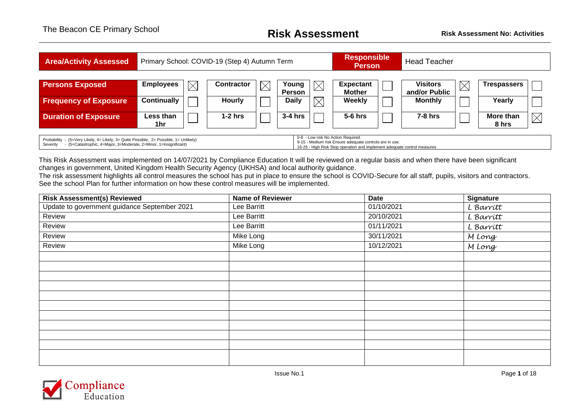| <b>Area/Activity Assessed</b>                                                                                                                                                                                                                                                                                                                     |                    | Primary School: COVID-19 (Step 4) Autumn Term |            |             |                        | <b>Responsible</b><br><b>Person</b> |                                   | <b>Head Teacher</b> |                                  |             |                    |             |  |
|---------------------------------------------------------------------------------------------------------------------------------------------------------------------------------------------------------------------------------------------------------------------------------------------------------------------------------------------------|--------------------|-----------------------------------------------|------------|-------------|------------------------|-------------------------------------|-----------------------------------|---------------------|----------------------------------|-------------|--------------------|-------------|--|
| <b>Persons Exposed</b>                                                                                                                                                                                                                                                                                                                            | <b>Employees</b>   | $\boxtimes$                                   | Contractor | $\boxtimes$ | Young<br><b>Person</b> |                                     | <b>Expectant</b><br><b>Mother</b> |                     | <b>Visitors</b><br>and/or Public | $\boxtimes$ | <b>Trespassers</b> |             |  |
| <b>Frequency of Exposure</b>                                                                                                                                                                                                                                                                                                                      | <b>Continually</b> |                                               | Hourly     |             | <b>Daily</b>           |                                     | <b>Weekly</b>                     |                     | <b>Monthly</b>                   |             | Yearly             |             |  |
| <b>Duration of Exposure</b>                                                                                                                                                                                                                                                                                                                       | Less than<br>1hr   |                                               | $1-2$ hrs  |             | $3-4$ hrs              |                                     | $5-6$ hrs                         |                     | $7-8$ hrs                        |             | More than<br>8 hrs | $\boxtimes$ |  |
| 0-8 - Low risk No Action Required.<br>Probability - (5=Very Likely, 4= Likely, 3= Quite Possible, 2= Possible, 1= Unlikely)<br>9-15 - Medium risk Ensure adequate controls are in use.<br>(5=Catastrophic, 4=Major, 3=Moderate, 2=Minor, 1=Insignificant)<br>Severity<br>16-25 - High Risk Stop operation and implement adequate control measures |                    |                                               |            |             |                        |                                     |                                   |                     |                                  |             |                    |             |  |

This Risk Assessment was implemented on 14/07/2021 by Compliance Education It will be reviewed on a regular basis and when there have been significant changes in government, United Kingdom Health Security Agency (UKHSA) and local authority guidance.

The risk assessment highlights all control measures the school has put in place to ensure the school is COVID-Secure for all staff, pupils, visitors and contractors. See the school Plan for further information on how these control measures will be implemented.

| <b>Risk Assessment(s) Reviewed</b>           | <b>Name of Reviewer</b> | <b>Date</b> | <b>Signature</b> |
|----------------------------------------------|-------------------------|-------------|------------------|
| Update to government guidance September 2021 | Lee Barritt             | 01/10/2021  | L Barritt        |
| Review                                       | Lee Barritt             | 20/10/2021  | L Barrítt        |
| Review                                       | Lee Barritt             | 01/11/2021  | L Barrítt        |
| Review                                       | Mike Long               | 30/11/2021  | M Long           |
| Review                                       | Mike Long               | 10/12/2021  | M Long           |
|                                              |                         |             |                  |
|                                              |                         |             |                  |
|                                              |                         |             |                  |
|                                              |                         |             |                  |
|                                              |                         |             |                  |
|                                              |                         |             |                  |
|                                              |                         |             |                  |
|                                              |                         |             |                  |
|                                              |                         |             |                  |
|                                              |                         |             |                  |
|                                              |                         |             |                  |
|                                              |                         |             |                  |

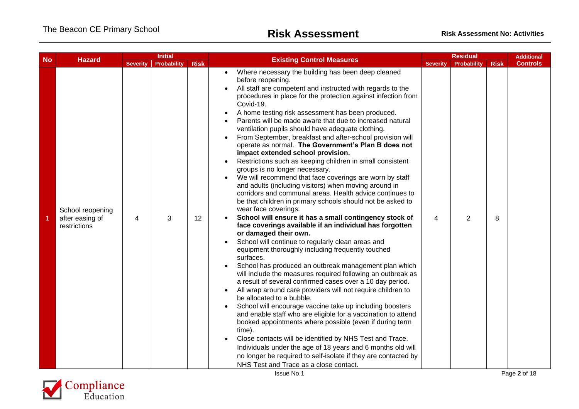|           |                                                     |                 | <b>Initial</b>     |                 |                                                                                                                                                                                                                                                                                                                                                                                                                                                                                                                                                                                                                                                                                                                                                                                                                                                                                                                                                                                                                                                                                                                                                                                                                                                                                                                                                                                                                                                                                                                                                                                                                                                                                                                                                                                                                                                                                                                        |                 | <b>Residual</b> |             | <b>Additional</b> |
|-----------|-----------------------------------------------------|-----------------|--------------------|-----------------|------------------------------------------------------------------------------------------------------------------------------------------------------------------------------------------------------------------------------------------------------------------------------------------------------------------------------------------------------------------------------------------------------------------------------------------------------------------------------------------------------------------------------------------------------------------------------------------------------------------------------------------------------------------------------------------------------------------------------------------------------------------------------------------------------------------------------------------------------------------------------------------------------------------------------------------------------------------------------------------------------------------------------------------------------------------------------------------------------------------------------------------------------------------------------------------------------------------------------------------------------------------------------------------------------------------------------------------------------------------------------------------------------------------------------------------------------------------------------------------------------------------------------------------------------------------------------------------------------------------------------------------------------------------------------------------------------------------------------------------------------------------------------------------------------------------------------------------------------------------------------------------------------------------------|-----------------|-----------------|-------------|-------------------|
| <b>No</b> | <b>Hazard</b>                                       | <b>Severity</b> | <b>Probability</b> | <b>Risk</b>     | <b>Existing Control Measures</b>                                                                                                                                                                                                                                                                                                                                                                                                                                                                                                                                                                                                                                                                                                                                                                                                                                                                                                                                                                                                                                                                                                                                                                                                                                                                                                                                                                                                                                                                                                                                                                                                                                                                                                                                                                                                                                                                                       | <b>Severity</b> | Probability     | <b>Risk</b> | <b>Controls</b>   |
|           | School reopening<br>after easing of<br>restrictions | 4               | 3                  | 12 <sup>2</sup> | Where necessary the building has been deep cleaned<br>before reopening.<br>All staff are competent and instructed with regards to the<br>procedures in place for the protection against infection from<br>Covid-19.<br>A home testing risk assessment has been produced.<br>Parents will be made aware that due to increased natural<br>ventilation pupils should have adequate clothing.<br>From September, breakfast and after-school provision will<br>operate as normal. The Government's Plan B does not<br>impact extended school provision.<br>Restrictions such as keeping children in small consistent<br>groups is no longer necessary.<br>We will recommend that face coverings are worn by staff<br>and adults (including visitors) when moving around in<br>corridors and communal areas. Health advice continues to<br>be that children in primary schools should not be asked to<br>wear face coverings.<br>School will ensure it has a small contingency stock of<br>face coverings available if an individual has forgotten<br>or damaged their own.<br>School will continue to regularly clean areas and<br>equipment thoroughly including frequently touched<br>surfaces.<br>School has produced an outbreak management plan which<br>will include the measures required following an outbreak as<br>a result of several confirmed cases over a 10 day period.<br>All wrap around care providers will not require children to<br>be allocated to a bubble.<br>School will encourage vaccine take up including boosters<br>and enable staff who are eligible for a vaccination to attend<br>booked appointments where possible (even if during term<br>time).<br>Close contacts will be identified by NHS Test and Trace.<br>Individuals under the age of 18 years and 6 months old will<br>no longer be required to self-isolate if they are contacted by<br>NHS Test and Trace as a close contact. | 4               | 2               | 8           |                   |

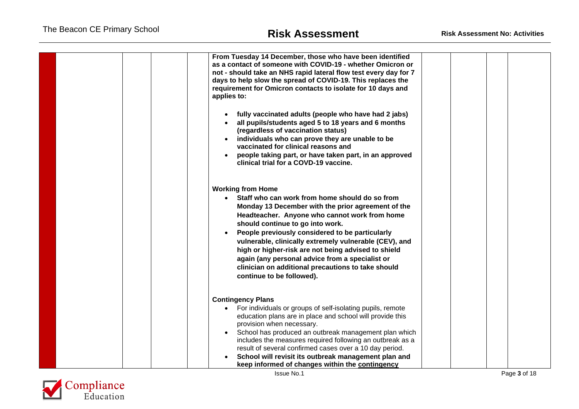| From Tuesday 14 December, those who have been identified<br>as a contact of someone with COVID-19 - whether Omicron or<br>not - should take an NHS rapid lateral flow test every day for 7<br>days to help slow the spread of COVID-19. This replaces the<br>requirement for Omicron contacts to isolate for 10 days and<br>applies to:                                                                                                                                                                                           |  |
|-----------------------------------------------------------------------------------------------------------------------------------------------------------------------------------------------------------------------------------------------------------------------------------------------------------------------------------------------------------------------------------------------------------------------------------------------------------------------------------------------------------------------------------|--|
| fully vaccinated adults (people who have had 2 jabs)<br>all pupils/students aged 5 to 18 years and 6 months<br>(regardless of vaccination status)<br>individuals who can prove they are unable to be<br>vaccinated for clinical reasons and<br>people taking part, or have taken part, in an approved<br>clinical trial for a COVD-19 vaccine.                                                                                                                                                                                    |  |
| <b>Working from Home</b><br>• Staff who can work from home should do so from<br>Monday 13 December with the prior agreement of the<br>Headteacher. Anyone who cannot work from home<br>should continue to go into work.<br>People previously considered to be particularly<br>vulnerable, clinically extremely vulnerable (CEV), and<br>high or higher-risk are not being advised to shield<br>again (any personal advice from a specialist or<br>clinician on additional precautions to take should<br>continue to be followed). |  |
| <b>Contingency Plans</b><br>• For individuals or groups of self-isolating pupils, remote<br>education plans are in place and school will provide this<br>provision when necessary.<br>School has produced an outbreak management plan which<br>includes the measures required following an outbreak as a<br>result of several confirmed cases over a 10 day period.<br>School will revisit its outbreak management plan and<br>keep informed of changes within the contingency                                                    |  |

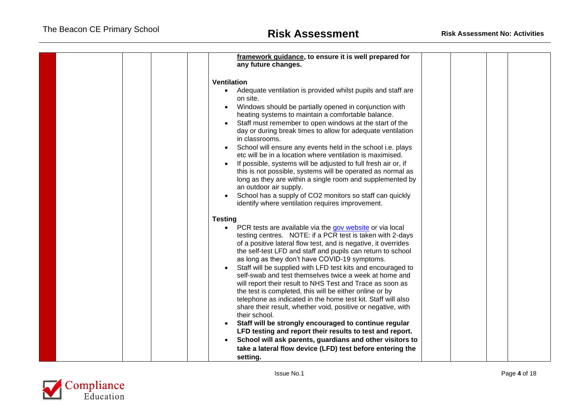| framework guidance, to ensure it is well prepared for<br>any future changes.                                                                                                                                                                                                                                                                                                                                                                                                                                                                                                                                                                                                                                                                                                                                                                                                                                                                                                                       |  |
|----------------------------------------------------------------------------------------------------------------------------------------------------------------------------------------------------------------------------------------------------------------------------------------------------------------------------------------------------------------------------------------------------------------------------------------------------------------------------------------------------------------------------------------------------------------------------------------------------------------------------------------------------------------------------------------------------------------------------------------------------------------------------------------------------------------------------------------------------------------------------------------------------------------------------------------------------------------------------------------------------|--|
| <b>Ventilation</b><br>• Adequate ventilation is provided whilst pupils and staff are<br>on site.<br>Windows should be partially opened in conjunction with<br>heating systems to maintain a comfortable balance.<br>Staff must remember to open windows at the start of the<br>day or during break times to allow for adequate ventilation<br>in classrooms.<br>School will ensure any events held in the school i.e. plays<br>etc will be in a location where ventilation is maximised.<br>If possible, systems will be adjusted to full fresh air or, if<br>this is not possible, systems will be operated as normal as<br>long as they are within a single room and supplemented by<br>an outdoor air supply.<br>School has a supply of CO2 monitors so staff can quickly<br>identify where ventilation requires improvement.                                                                                                                                                                   |  |
| <b>Testing</b><br>PCR tests are available via the gov website or via local<br>$\bullet$<br>testing centres. NOTE: if a PCR test is taken with 2-days<br>of a positive lateral flow test, and is negative, it overrides<br>the self-test LFD and staff and pupils can return to school<br>as long as they don't have COVID-19 symptoms.<br>Staff will be supplied with LFD test kits and encouraged to<br>self-swab and test themselves twice a week at home and<br>will report their result to NHS Test and Trace as soon as<br>the test is completed, this will be either online or by<br>telephone as indicated in the home test kit. Staff will also<br>share their result, whether void, positive or negative, with<br>their school.<br>Staff will be strongly encouraged to continue regular<br>LFD testing and report their results to test and report.<br>School will ask parents, guardians and other visitors to<br>take a lateral flow device (LFD) test before entering the<br>setting. |  |

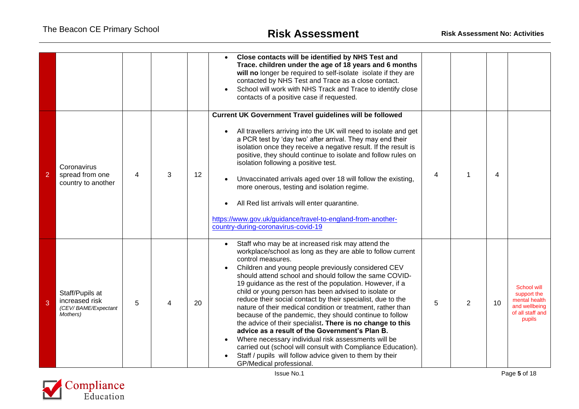|                |                                                                      |   |   |    | Close contacts will be identified by NHS Test and<br>Trace. children under the age of 18 years and 6 months<br>will no longer be required to self-isolate isolate if they are<br>contacted by NHS Test and Trace as a close contact.<br>School will work with NHS Track and Trace to identify close<br>contacts of a positive case if requested.                                                                                                                                                                                                                                                                                                                                                                                                                                                                                                                                                   |   |                |    |                                                                                            |
|----------------|----------------------------------------------------------------------|---|---|----|----------------------------------------------------------------------------------------------------------------------------------------------------------------------------------------------------------------------------------------------------------------------------------------------------------------------------------------------------------------------------------------------------------------------------------------------------------------------------------------------------------------------------------------------------------------------------------------------------------------------------------------------------------------------------------------------------------------------------------------------------------------------------------------------------------------------------------------------------------------------------------------------------|---|----------------|----|--------------------------------------------------------------------------------------------|
| $\overline{2}$ | Coronavirus<br>spread from one<br>country to another                 | 4 | 3 | 12 | <b>Current UK Government Travel guidelines will be followed</b><br>All travellers arriving into the UK will need to isolate and get<br>a PCR test by 'day two' after arrival. They may end their<br>isolation once they receive a negative result. If the result is<br>positive, they should continue to isolate and follow rules on<br>isolation following a positive test.<br>Unvaccinated arrivals aged over 18 will follow the existing,<br>more onerous, testing and isolation regime.<br>All Red list arrivals will enter quarantine.<br>https://www.gov.uk/guidance/travel-to-england-from-another-<br>country-during-coronavirus-covid-19                                                                                                                                                                                                                                                  | 4 | 1              | 4  |                                                                                            |
| 3              | Staff/Pupils at<br>increased risk<br>(CEV/BAME/Expectant<br>Mothers) | 5 | 4 | 20 | Staff who may be at increased risk may attend the<br>workplace/school as long as they are able to follow current<br>control measures.<br>Children and young people previously considered CEV<br>should attend school and should follow the same COVID-<br>19 guidance as the rest of the population. However, if a<br>child or young person has been advised to isolate or<br>reduce their social contact by their specialist, due to the<br>nature of their medical condition or treatment, rather than<br>because of the pandemic, they should continue to follow<br>the advice of their specialist. There is no change to this<br>advice as a result of the Government's Plan B.<br>Where necessary individual risk assessments will be<br>carried out (school will consult with Compliance Education).<br>Staff / pupils will follow advice given to them by their<br>GP/Medical professional. | 5 | $\overline{2}$ | 10 | School will<br>support the<br>mental health<br>and wellbeing<br>of all staff and<br>pupils |

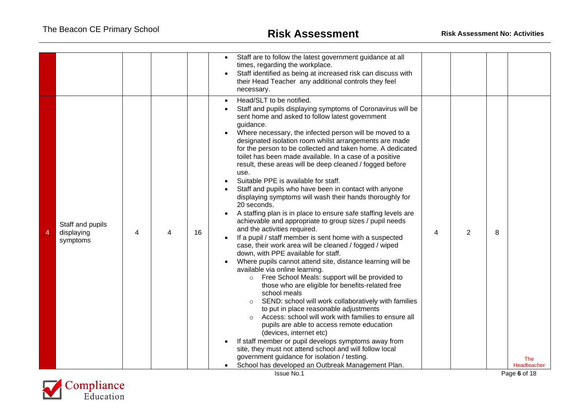|   |                                            |   |    | Staff are to follow the latest government guidance at all<br>$\bullet$<br>times, regarding the workplace.<br>Staff identified as being at increased risk can discuss with<br>their Head Teacher any additional controls they feel<br>necessary.                                                                                                                                                                                                                                                                                                                                                                                                                                                                                                                                                                                                                                                                                                                                                                                                                                                                                                                                                                                                                                                                                                                                                                                                                                                                                                                                                                                                                                         |   |                |   |                    |
|---|--------------------------------------------|---|----|-----------------------------------------------------------------------------------------------------------------------------------------------------------------------------------------------------------------------------------------------------------------------------------------------------------------------------------------------------------------------------------------------------------------------------------------------------------------------------------------------------------------------------------------------------------------------------------------------------------------------------------------------------------------------------------------------------------------------------------------------------------------------------------------------------------------------------------------------------------------------------------------------------------------------------------------------------------------------------------------------------------------------------------------------------------------------------------------------------------------------------------------------------------------------------------------------------------------------------------------------------------------------------------------------------------------------------------------------------------------------------------------------------------------------------------------------------------------------------------------------------------------------------------------------------------------------------------------------------------------------------------------------------------------------------------------|---|----------------|---|--------------------|
| 4 | Staff and pupils<br>displaying<br>symptoms | 4 | 16 | Head/SLT to be notified.<br>$\bullet$<br>Staff and pupils displaying symptoms of Coronavirus will be<br>sent home and asked to follow latest government<br>guidance.<br>Where necessary, the infected person will be moved to a<br>designated isolation room whilst arrangements are made<br>for the person to be collected and taken home. A dedicated<br>toilet has been made available. In a case of a positive<br>result, these areas will be deep cleaned / fogged before<br>use.<br>Suitable PPE is available for staff.<br>Staff and pupils who have been in contact with anyone<br>displaying symptoms will wash their hands thoroughly for<br>20 seconds.<br>A staffing plan is in place to ensure safe staffing levels are<br>achievable and appropriate to group sizes / pupil needs<br>and the activities required.<br>If a pupil / staff member is sent home with a suspected<br>case, their work area will be cleaned / fogged / wiped<br>down, with PPE available for staff.<br>Where pupils cannot attend site, distance learning will be<br>available via online learning.<br>Free School Meals: support will be provided to<br>$\circ$<br>those who are eligible for benefits-related free<br>school meals<br>SEND: school will work collaboratively with families<br>to put in place reasonable adjustments<br>Access: school will work with families to ensure all<br>pupils are able to access remote education<br>(devices, internet etc)<br>If staff member or pupil develops symptoms away from<br>site, they must not attend school and will follow local<br>government guidance for isolation / testing.<br>School has developed an Outbreak Management Plan. | 4 | $\overline{2}$ | 8 | The<br>Headteacher |
|   |                                            |   |    | <b>Issue No.1</b>                                                                                                                                                                                                                                                                                                                                                                                                                                                                                                                                                                                                                                                                                                                                                                                                                                                                                                                                                                                                                                                                                                                                                                                                                                                                                                                                                                                                                                                                                                                                                                                                                                                                       |   |                |   | Page 6 of 18       |

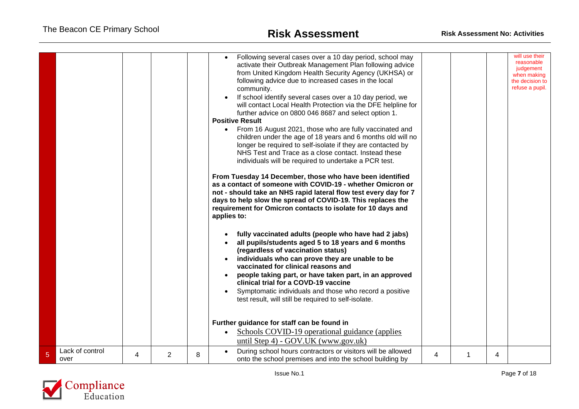|                |                 |   |   |   | Following several cases over a 10 day period, school may<br>$\bullet$<br>activate their Outbreak Management Plan following advice<br>from United Kingdom Health Security Agency (UKHSA) or<br>following advice due to increased cases in the local<br>community.<br>If school identify several cases over a 10 day period, we<br>will contact Local Health Protection via the DFE helpline for<br>further advice on 0800 046 8687 and select option 1.<br><b>Positive Result</b><br>From 16 August 2021, those who are fully vaccinated and<br>children under the age of 18 years and 6 months old will no<br>longer be required to self-isolate if they are contacted by<br>NHS Test and Trace as a close contact. Instead these<br>individuals will be required to undertake a PCR test.<br>From Tuesday 14 December, those who have been identified<br>as a contact of someone with COVID-19 - whether Omicron or<br>not - should take an NHS rapid lateral flow test every day for 7<br>days to help slow the spread of COVID-19. This replaces the<br>requirement for Omicron contacts to isolate for 10 days and<br>applies to:<br>fully vaccinated adults (people who have had 2 jabs)<br>all pupils/students aged 5 to 18 years and 6 months<br>(regardless of vaccination status)<br>individuals who can prove they are unable to be<br>vaccinated for clinical reasons and<br>people taking part, or have taken part, in an approved<br>clinical trial for a COVD-19 vaccine<br>Symptomatic individuals and those who record a positive<br>test result, will still be required to self-isolate. |   |   |   | will use their<br>reasonable<br>judgement<br>when making<br>the decision to<br>refuse a pupil. |
|----------------|-----------------|---|---|---|-----------------------------------------------------------------------------------------------------------------------------------------------------------------------------------------------------------------------------------------------------------------------------------------------------------------------------------------------------------------------------------------------------------------------------------------------------------------------------------------------------------------------------------------------------------------------------------------------------------------------------------------------------------------------------------------------------------------------------------------------------------------------------------------------------------------------------------------------------------------------------------------------------------------------------------------------------------------------------------------------------------------------------------------------------------------------------------------------------------------------------------------------------------------------------------------------------------------------------------------------------------------------------------------------------------------------------------------------------------------------------------------------------------------------------------------------------------------------------------------------------------------------------------------------------------------------------------------------------------|---|---|---|------------------------------------------------------------------------------------------------|
|                |                 |   |   |   | Further guidance for staff can be found in<br>Schools COVID-19 operational guidance (applies<br>$\bullet$                                                                                                                                                                                                                                                                                                                                                                                                                                                                                                                                                                                                                                                                                                                                                                                                                                                                                                                                                                                                                                                                                                                                                                                                                                                                                                                                                                                                                                                                                                 |   |   |   |                                                                                                |
| $\overline{5}$ | Lack of control | 4 | 2 | 8 | until Step 4) - GOV.UK (www.gov.uk)<br>During school hours contractors or visitors will be allowed                                                                                                                                                                                                                                                                                                                                                                                                                                                                                                                                                                                                                                                                                                                                                                                                                                                                                                                                                                                                                                                                                                                                                                                                                                                                                                                                                                                                                                                                                                        | 4 | 1 | 4 |                                                                                                |
|                | over            |   |   |   | onto the school premises and into the school building by                                                                                                                                                                                                                                                                                                                                                                                                                                                                                                                                                                                                                                                                                                                                                                                                                                                                                                                                                                                                                                                                                                                                                                                                                                                                                                                                                                                                                                                                                                                                                  |   |   |   |                                                                                                |

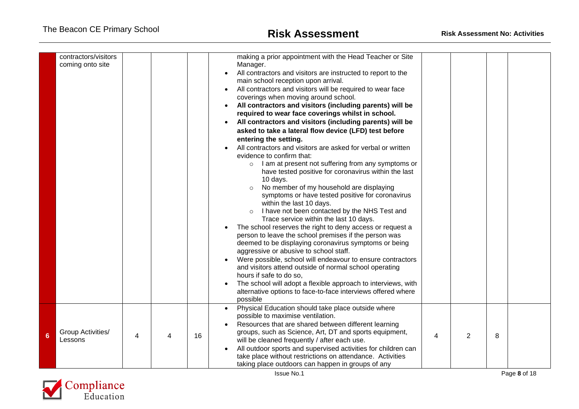|   | contractors/visitors<br>coming onto site |   |   |    | making a prior appointment with the Head Teacher or Site<br>Manager.<br>All contractors and visitors are instructed to report to the<br>main school reception upon arrival.<br>All contractors and visitors will be required to wear face<br>coverings when moving around school.<br>All contractors and visitors (including parents) will be<br>required to wear face coverings whilst in school.<br>All contractors and visitors (including parents) will be<br>asked to take a lateral flow device (LFD) test before<br>entering the setting.<br>All contractors and visitors are asked for verbal or written<br>evidence to confirm that:<br>I am at present not suffering from any symptoms or<br>$\circ$<br>have tested positive for coronavirus within the last<br>10 days.<br>No member of my household are displaying<br>symptoms or have tested positive for coronavirus<br>within the last 10 days.<br>I have not been contacted by the NHS Test and<br>$\circ$<br>Trace service within the last 10 days.<br>The school reserves the right to deny access or request a<br>person to leave the school premises if the person was<br>deemed to be displaying coronavirus symptoms or being<br>aggressive or abusive to school staff.<br>Were possible, school will endeavour to ensure contractors<br>and visitors attend outside of normal school operating<br>hours if safe to do so,<br>The school will adopt a flexible approach to interviews, with<br>alternative options to face-to-face interviews offered where<br>possible |   |   |   |  |
|---|------------------------------------------|---|---|----|-----------------------------------------------------------------------------------------------------------------------------------------------------------------------------------------------------------------------------------------------------------------------------------------------------------------------------------------------------------------------------------------------------------------------------------------------------------------------------------------------------------------------------------------------------------------------------------------------------------------------------------------------------------------------------------------------------------------------------------------------------------------------------------------------------------------------------------------------------------------------------------------------------------------------------------------------------------------------------------------------------------------------------------------------------------------------------------------------------------------------------------------------------------------------------------------------------------------------------------------------------------------------------------------------------------------------------------------------------------------------------------------------------------------------------------------------------------------------------------------------------------------------------------------------|---|---|---|--|
| 6 | Group Activities/<br>Lessons             | 4 | 4 | 16 | Physical Education should take place outside where<br>possible to maximise ventilation.<br>Resources that are shared between different learning<br>groups, such as Science, Art, DT and sports equipment,<br>will be cleaned frequently / after each use.<br>All outdoor sports and supervised activities for children can<br>take place without restrictions on attendance. Activities<br>taking place outdoors can happen in groups of any                                                                                                                                                                                                                                                                                                                                                                                                                                                                                                                                                                                                                                                                                                                                                                                                                                                                                                                                                                                                                                                                                                  | 4 | 2 | 8 |  |

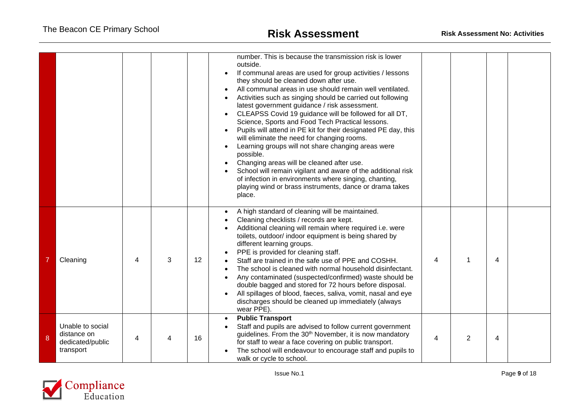|   |                                                                  |   |   |    | number. This is because the transmission risk is lower<br>outside.<br>If communal areas are used for group activities / lessons<br>they should be cleaned down after use.<br>All communal areas in use should remain well ventilated.<br>Activities such as singing should be carried out following<br>latest government guidance / risk assessment.<br>CLEAPSS Covid 19 guidance will be followed for all DT,<br>Science, Sports and Food Tech Practical lessons.<br>Pupils will attend in PE kit for their designated PE day, this<br>will eliminate the need for changing rooms.<br>Learning groups will not share changing areas were<br>possible.<br>Changing areas will be cleaned after use.<br>School will remain vigilant and aware of the additional risk<br>of infection in environments where singing, chanting,<br>playing wind or brass instruments, dance or drama takes<br>place. |                |   |   |  |
|---|------------------------------------------------------------------|---|---|----|---------------------------------------------------------------------------------------------------------------------------------------------------------------------------------------------------------------------------------------------------------------------------------------------------------------------------------------------------------------------------------------------------------------------------------------------------------------------------------------------------------------------------------------------------------------------------------------------------------------------------------------------------------------------------------------------------------------------------------------------------------------------------------------------------------------------------------------------------------------------------------------------------|----------------|---|---|--|
|   | Cleaning                                                         | 4 | 3 | 12 | A high standard of cleaning will be maintained.<br>Cleaning checklists / records are kept.<br>Additional cleaning will remain where required i.e. were<br>toilets, outdoor/ indoor equipment is being shared by<br>different learning groups.<br>PPE is provided for cleaning staff.<br>Staff are trained in the safe use of PPE and COSHH.<br>The school is cleaned with normal household disinfectant.<br>Any contaminated (suspected/confirmed) waste should be<br>double bagged and stored for 72 hours before disposal.<br>All spillages of blood, faeces, saliva, vomit, nasal and eye<br>discharges should be cleaned up immediately (always<br>wear PPE).                                                                                                                                                                                                                                 | 4              |   | 4 |  |
| 8 | Unable to social<br>distance on<br>dedicated/public<br>transport | 4 |   | 16 | <b>Public Transport</b><br>Staff and pupils are advised to follow current government<br>guidelines. From the 30 <sup>th</sup> November, it is now mandatory<br>for staff to wear a face covering on public transport.<br>The school will endeavour to encourage staff and pupils to<br>walk or cycle to school.                                                                                                                                                                                                                                                                                                                                                                                                                                                                                                                                                                                   | $\overline{4}$ | 2 | 4 |  |

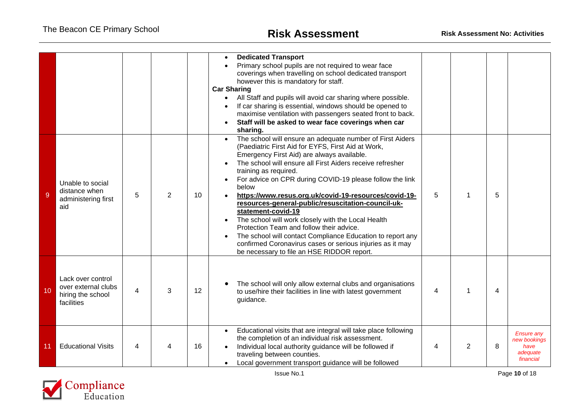|    |                                                                             |                |                |    | <b>Dedicated Transport</b><br>Primary school pupils are not required to wear face<br>coverings when travelling on school dedicated transport<br>however this is mandatory for staff.<br><b>Car Sharing</b><br>All Staff and pupils will avoid car sharing where possible.<br>If car sharing is essential, windows should be opened to<br>maximise ventilation with passengers seated front to back.<br>Staff will be asked to wear face coverings when car<br>sharing.                                                                                                                                                                                                                                                                   |   |                |   |                                                                    |
|----|-----------------------------------------------------------------------------|----------------|----------------|----|------------------------------------------------------------------------------------------------------------------------------------------------------------------------------------------------------------------------------------------------------------------------------------------------------------------------------------------------------------------------------------------------------------------------------------------------------------------------------------------------------------------------------------------------------------------------------------------------------------------------------------------------------------------------------------------------------------------------------------------|---|----------------|---|--------------------------------------------------------------------|
| 9  | Unable to social<br>distance when<br>administering first<br>aid             | 5              | $\overline{2}$ | 10 | The school will ensure an adequate number of First Aiders<br>(Paediatric First Aid for EYFS, First Aid at Work,<br>Emergency First Aid) are always available.<br>The school will ensure all First Aiders receive refresher<br>training as required.<br>For advice on CPR during COVID-19 please follow the link<br>below<br>https://www.resus.org.uk/covid-19-resources/covid-19-<br>resources-general-public/resuscitation-council-uk-<br>statement-covid-19<br>The school will work closely with the Local Health<br>Protection Team and follow their advice.<br>The school will contact Compliance Education to report any<br>confirmed Coronavirus cases or serious injuries as it may<br>be necessary to file an HSE RIDDOR report. | 5 |                | 5 |                                                                    |
| 10 | Lack over control<br>over external clubs<br>hiring the school<br>facilities | $\overline{4}$ | 3              | 12 | The school will only allow external clubs and organisations<br>to use/hire their facilities in line with latest government<br>guidance.                                                                                                                                                                                                                                                                                                                                                                                                                                                                                                                                                                                                  | 4 |                | 4 |                                                                    |
| 11 | <b>Educational Visits</b>                                                   | 4              |                | 16 | Educational visits that are integral will take place following<br>$\bullet$<br>the completion of an individual risk assessment.<br>Individual local authority guidance will be followed if<br>traveling between counties.<br>Local government transport guidance will be followed                                                                                                                                                                                                                                                                                                                                                                                                                                                        | 4 | $\overline{2}$ | 8 | <b>Ensure any</b><br>new bookinas<br>have<br>adequate<br>financial |

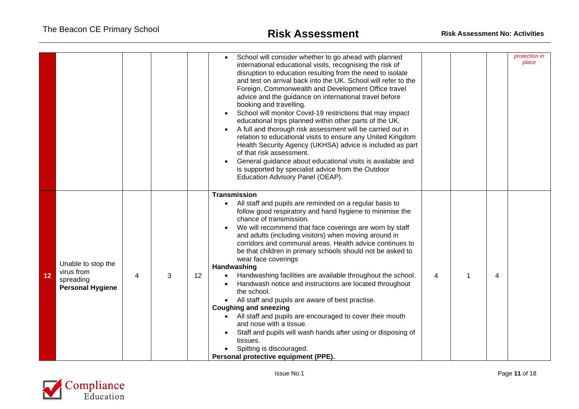|    |                                                                          |   |   |    | School will consider whether to go ahead with planned<br>international educational visits, recognising the risk of<br>disruption to education resulting from the need to isolate<br>and test on arrival back into the UK. School will refer to the<br>Foreign, Commonwealth and Development Office travel<br>advice and the guidance on international travel before<br>booking and travelling.<br>School will monitor Covid-19 restrictions that may impact<br>educational trips planned within other parts of the UK.<br>A full and thorough risk assessment will be carried out in<br>relation to educational visits to ensure any United Kingdom<br>Health Security Agency (UKHSA) advice is included as part<br>of that risk assessment.<br>General guidance about educational visits is available and<br>is supported by specialist advice from the Outdoor<br>Education Advisory Panel (OEAP).                          |                |                         | protection in<br>place |
|----|--------------------------------------------------------------------------|---|---|----|-------------------------------------------------------------------------------------------------------------------------------------------------------------------------------------------------------------------------------------------------------------------------------------------------------------------------------------------------------------------------------------------------------------------------------------------------------------------------------------------------------------------------------------------------------------------------------------------------------------------------------------------------------------------------------------------------------------------------------------------------------------------------------------------------------------------------------------------------------------------------------------------------------------------------------|----------------|-------------------------|------------------------|
| 12 | Unable to stop the<br>virus from<br>spreading<br><b>Personal Hygiene</b> | 4 | 3 | 12 | <b>Transmission</b><br>All staff and pupils are reminded on a regular basis to<br>follow good respiratory and hand hygiene to minimise the<br>chance of transmission.<br>We will recommend that face coverings are worn by staff<br>and adults (including visitors) when moving around in<br>corridors and communal areas. Health advice continues to<br>be that children in primary schools should not be asked to<br>wear face coverings<br>Handwashing<br>Handwashing facilities are available throughout the school.<br>Handwash notice and instructions are located throughout<br>the school.<br>All staff and pupils are aware of best practise.<br><b>Coughing and sneezing</b><br>All staff and pupils are encouraged to cover their mouth<br>and nose with a tissue.<br>Staff and pupils will wash hands after using or disposing of<br>tissues.<br>Spitting is discouraged.<br>Personal protective equipment (PPE). | $\overline{4}$ | $\overline{\mathbf{4}}$ |                        |

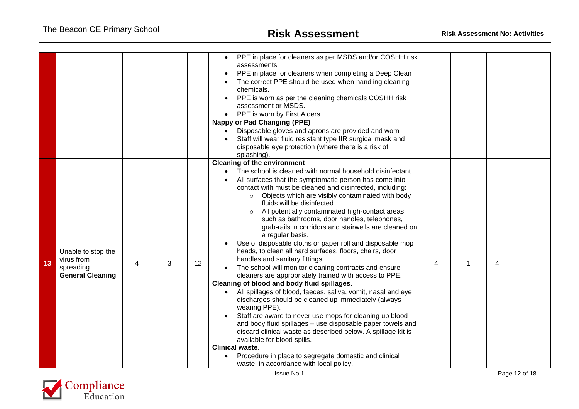|    |                                                                          |   |   |    | PPE in place for cleaners as per MSDS and/or COSHH risk<br>$\bullet$<br>assessments<br>PPE in place for cleaners when completing a Deep Clean<br>The correct PPE should be used when handling cleaning<br>chemicals.<br>PPE is worn as per the cleaning chemicals COSHH risk<br>assessment or MSDS.<br>PPE is worn by First Aiders.<br><b>Nappy or Pad Changing (PPE)</b><br>Disposable gloves and aprons are provided and worn<br>Staff will wear fluid resistant type IIR surgical mask and<br>disposable eye protection (where there is a risk of<br>splashing).                                                                                                                                                                                                                                                                                                                                                                                                                                                                                                                                                                                                                                                                                                                                                                                          |   |   |  |
|----|--------------------------------------------------------------------------|---|---|----|--------------------------------------------------------------------------------------------------------------------------------------------------------------------------------------------------------------------------------------------------------------------------------------------------------------------------------------------------------------------------------------------------------------------------------------------------------------------------------------------------------------------------------------------------------------------------------------------------------------------------------------------------------------------------------------------------------------------------------------------------------------------------------------------------------------------------------------------------------------------------------------------------------------------------------------------------------------------------------------------------------------------------------------------------------------------------------------------------------------------------------------------------------------------------------------------------------------------------------------------------------------------------------------------------------------------------------------------------------------|---|---|--|
| 13 | Unable to stop the<br>virus from<br>spreading<br><b>General Cleaning</b> | 4 | 3 | 12 | Cleaning of the environment,<br>The school is cleaned with normal household disinfectant.<br>$\bullet$<br>All surfaces that the symptomatic person has come into<br>contact with must be cleaned and disinfected, including:<br>Objects which are visibly contaminated with body<br>$\circ$<br>fluids will be disinfected.<br>All potentially contaminated high-contact areas<br>$\circ$<br>such as bathrooms, door handles, telephones,<br>grab-rails in corridors and stairwells are cleaned on<br>a regular basis.<br>Use of disposable cloths or paper roll and disposable mop<br>heads, to clean all hard surfaces, floors, chairs, door<br>handles and sanitary fittings.<br>The school will monitor cleaning contracts and ensure<br>cleaners are appropriately trained with access to PPE.<br>Cleaning of blood and body fluid spillages.<br>All spillages of blood, faeces, saliva, vomit, nasal and eye<br>$\bullet$<br>discharges should be cleaned up immediately (always<br>wearing PPE).<br>Staff are aware to never use mops for cleaning up blood<br>and body fluid spillages - use disposable paper towels and<br>discard clinical waste as described below. A spillage kit is<br>available for blood spills.<br><b>Clinical waste.</b><br>Procedure in place to segregate domestic and clinical<br>waste, in accordance with local policy. | 4 | 4 |  |

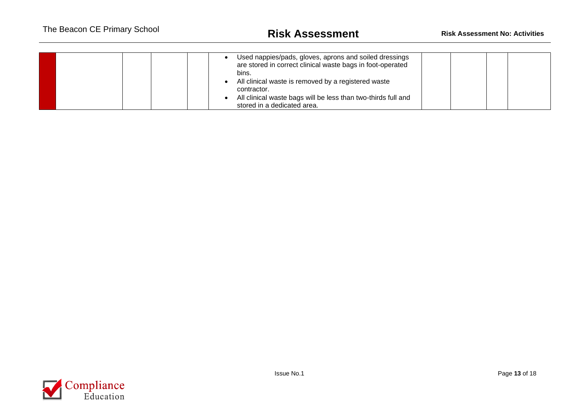|  | Used nappies/pads, gloves, aprons and soiled dressings<br>are stored in correct clinical waste bags in foot-operated<br>bins. |  |  |
|--|-------------------------------------------------------------------------------------------------------------------------------|--|--|
|  | All clinical waste is removed by a registered waste<br>contractor.                                                            |  |  |
|  | All clinical waste bags will be less than two-thirds full and<br>stored in a dedicated area.                                  |  |  |

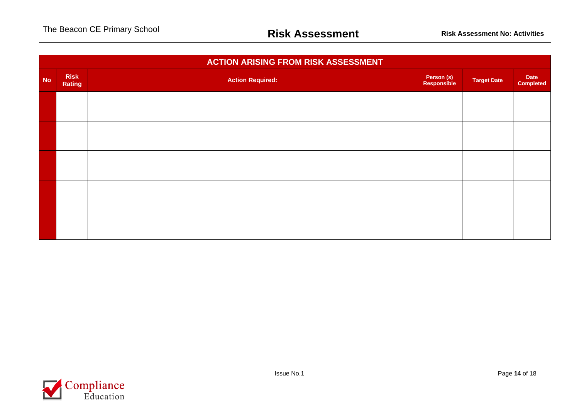|           | <b>ACTION ARISING FROM RISK ASSESSMENT</b> |                         |                           |                    |                          |  |  |  |  |  |
|-----------|--------------------------------------------|-------------------------|---------------------------|--------------------|--------------------------|--|--|--|--|--|
| <b>No</b> | <b>Risk</b><br>Rating                      | <b>Action Required:</b> | Person (s)<br>Responsible | <b>Target Date</b> | Date<br><b>Completed</b> |  |  |  |  |  |
|           |                                            |                         |                           |                    |                          |  |  |  |  |  |
|           |                                            |                         |                           |                    |                          |  |  |  |  |  |
|           |                                            |                         |                           |                    |                          |  |  |  |  |  |
|           |                                            |                         |                           |                    |                          |  |  |  |  |  |
|           |                                            |                         |                           |                    |                          |  |  |  |  |  |
|           |                                            |                         |                           |                    |                          |  |  |  |  |  |
|           |                                            |                         |                           |                    |                          |  |  |  |  |  |
|           |                                            |                         |                           |                    |                          |  |  |  |  |  |

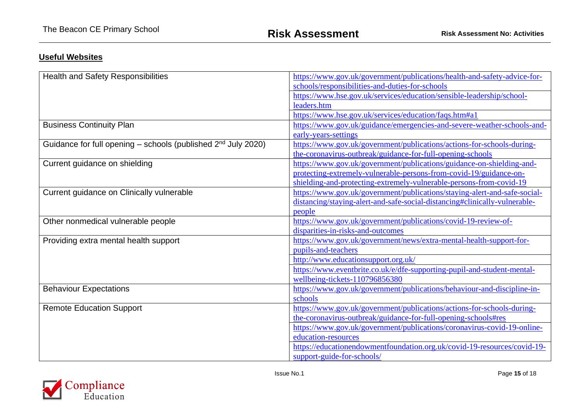## **Useful Websites**

| <b>Health and Safety Responsibilities</b>                          | https://www.gov.uk/government/publications/health-and-safety-advice-for-   |  |  |  |
|--------------------------------------------------------------------|----------------------------------------------------------------------------|--|--|--|
|                                                                    | schools/responsibilities-and-duties-for-schools                            |  |  |  |
|                                                                    | https://www.hse.gov.uk/services/education/sensible-leadership/school-      |  |  |  |
|                                                                    | leaders.htm                                                                |  |  |  |
|                                                                    | https://www.hse.gov.uk/services/education/faqs.htm#a1                      |  |  |  |
| <b>Business Continuity Plan</b>                                    | https://www.gov.uk/guidance/emergencies-and-severe-weather-schools-and-    |  |  |  |
|                                                                    | early-years-settings                                                       |  |  |  |
| Guidance for full opening – schools (published $2^{nd}$ July 2020) | https://www.gov.uk/government/publications/actions-for-schools-during-     |  |  |  |
|                                                                    | the-coronavirus-outbreak/guidance-for-full-opening-schools                 |  |  |  |
| Current guidance on shielding                                      | https://www.gov.uk/government/publications/guidance-on-shielding-and-      |  |  |  |
|                                                                    | protecting-extremely-vulnerable-persons-from-covid-19/guidance-on-         |  |  |  |
|                                                                    | shielding-and-protecting-extremely-vulnerable-persons-from-covid-19        |  |  |  |
| Current guidance on Clinically vulnerable                          | https://www.gov.uk/government/publications/staying-alert-and-safe-social-  |  |  |  |
|                                                                    | distancing/staying-alert-and-safe-social-distancing#clinically-vulnerable- |  |  |  |
|                                                                    | people                                                                     |  |  |  |
| Other nonmedical vulnerable people                                 | https://www.gov.uk/government/publications/covid-19-review-of-             |  |  |  |
|                                                                    | disparities-in-risks-and-outcomes                                          |  |  |  |
| Providing extra mental health support                              | https://www.gov.uk/government/news/extra-mental-health-support-for-        |  |  |  |
|                                                                    | pupils-and-teachers                                                        |  |  |  |
|                                                                    | http://www.educationsupport.org.uk/                                        |  |  |  |
|                                                                    | https://www.eventbrite.co.uk/e/dfe-supporting-pupil-and-student-mental-    |  |  |  |
|                                                                    | wellbeing-tickets-110796856380                                             |  |  |  |
| <b>Behaviour Expectations</b>                                      | https://www.gov.uk/government/publications/behaviour-and-discipline-in-    |  |  |  |
|                                                                    | schools                                                                    |  |  |  |
| <b>Remote Education Support</b>                                    | https://www.gov.uk/government/publications/actions-for-schools-during-     |  |  |  |
|                                                                    | the-coronavirus-outbreak/guidance-for-full-opening-schools#res             |  |  |  |
|                                                                    | https://www.gov.uk/government/publications/coronavirus-covid-19-online-    |  |  |  |
|                                                                    | education-resources                                                        |  |  |  |
|                                                                    | https://educationendowmentfoundation.org.uk/covid-19-resources/covid-19-   |  |  |  |
|                                                                    | support-guide-for-schools/                                                 |  |  |  |

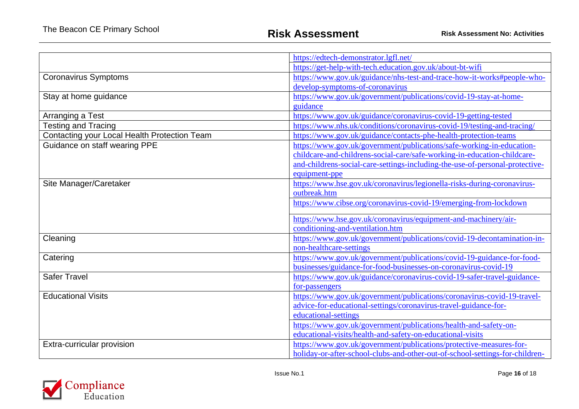|                                              | https://edtech-demonstrator.lgfl.net/                                        |  |  |  |
|----------------------------------------------|------------------------------------------------------------------------------|--|--|--|
|                                              | https://get-help-with-tech.education.gov.uk/about-bt-wifi                    |  |  |  |
| Coronavirus Symptoms                         | https://www.gov.uk/guidance/nhs-test-and-trace-how-it-works#people-who-      |  |  |  |
|                                              | develop-symptoms-of-coronavirus                                              |  |  |  |
| Stay at home guidance                        | https://www.gov.uk/government/publications/covid-19-stay-at-home-            |  |  |  |
|                                              | guidance                                                                     |  |  |  |
| Arranging a Test                             | https://www.gov.uk/guidance/coronavirus-covid-19-getting-tested              |  |  |  |
| <b>Testing and Tracing</b>                   | https://www.nhs.uk/conditions/coronavirus-covid-19/testing-and-tracing/      |  |  |  |
| Contacting your Local Health Protection Team | https://www.gov.uk/guidance/contacts-phe-health-protection-teams             |  |  |  |
| Guidance on staff wearing PPE                | https://www.gov.uk/government/publications/safe-working-in-education-        |  |  |  |
|                                              | childcare-and-childrens-social-care/safe-working-in-education-childcare-     |  |  |  |
|                                              | and-childrens-social-care-settings-including-the-use-of-personal-protective- |  |  |  |
|                                              | equipment-ppe                                                                |  |  |  |
| Site Manager/Caretaker                       | https://www.hse.gov.uk/coronavirus/legionella-risks-during-coronavirus-      |  |  |  |
|                                              | outbreak.htm                                                                 |  |  |  |
|                                              | https://www.cibse.org/coronavirus-covid-19/emerging-from-lockdown            |  |  |  |
|                                              | https://www.hse.gov.uk/coronavirus/equipment-and-machinery/air-              |  |  |  |
|                                              | conditioning-and-ventilation.htm                                             |  |  |  |
| Cleaning                                     | https://www.gov.uk/government/publications/covid-19-decontamination-in-      |  |  |  |
|                                              | non-healthcare-settings                                                      |  |  |  |
| Catering                                     | https://www.gov.uk/government/publications/covid-19-guidance-for-food-       |  |  |  |
|                                              | businesses/guidance-for-food-businesses-on-coronavirus-covid-19              |  |  |  |
| <b>Safer Travel</b>                          | https://www.gov.uk/guidance/coronavirus-covid-19-safer-travel-guidance-      |  |  |  |
|                                              | for-passengers                                                               |  |  |  |
| <b>Educational Visits</b>                    | https://www.gov.uk/government/publications/coronavirus-covid-19-travel-      |  |  |  |
|                                              | advice-for-educational-settings/coronavirus-travel-guidance-for-             |  |  |  |
|                                              | educational-settings                                                         |  |  |  |
|                                              | https://www.gov.uk/government/publications/health-and-safety-on-             |  |  |  |
|                                              | educational-visits/health-and-safety-on-educational-visits                   |  |  |  |
| Extra-curricular provision                   | https://www.gov.uk/government/publications/protective-measures-for-          |  |  |  |
|                                              | holiday-or-after-school-clubs-and-other-out-of-school-settings-for-children- |  |  |  |

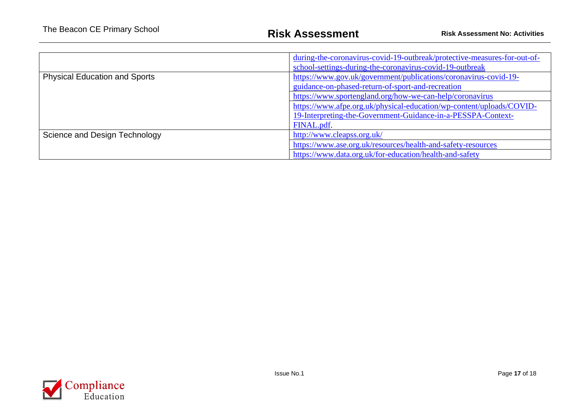|                                      | during-the-coronavirus-covid-19-outbreak/protective-measures-for-out-of-<br>school-settings-during-the-coronavirus-covid-19-outbreak |  |  |
|--------------------------------------|--------------------------------------------------------------------------------------------------------------------------------------|--|--|
| <b>Physical Education and Sports</b> | https://www.gov.uk/government/publications/coronavirus-covid-19-<br>guidance-on-phased-return-of-sport-and-recreation                |  |  |
|                                      | https://www.sportengland.org/how-we-can-help/coronavirus                                                                             |  |  |
|                                      | https://www.afpe.org.uk/physical-education/wp-content/uploads/COVID-<br>19-Interpreting-the-Government-Guidance-in-a-PESSPA-Context- |  |  |
|                                      | FINAL.pdf.                                                                                                                           |  |  |
| Science and Design Technology        | http://www.cleapss.org.uk/                                                                                                           |  |  |
|                                      | https://www.ase.org.uk/resources/health-and-safety-resources                                                                         |  |  |
|                                      | https://www.data.org.uk/for-education/health-and-safety                                                                              |  |  |